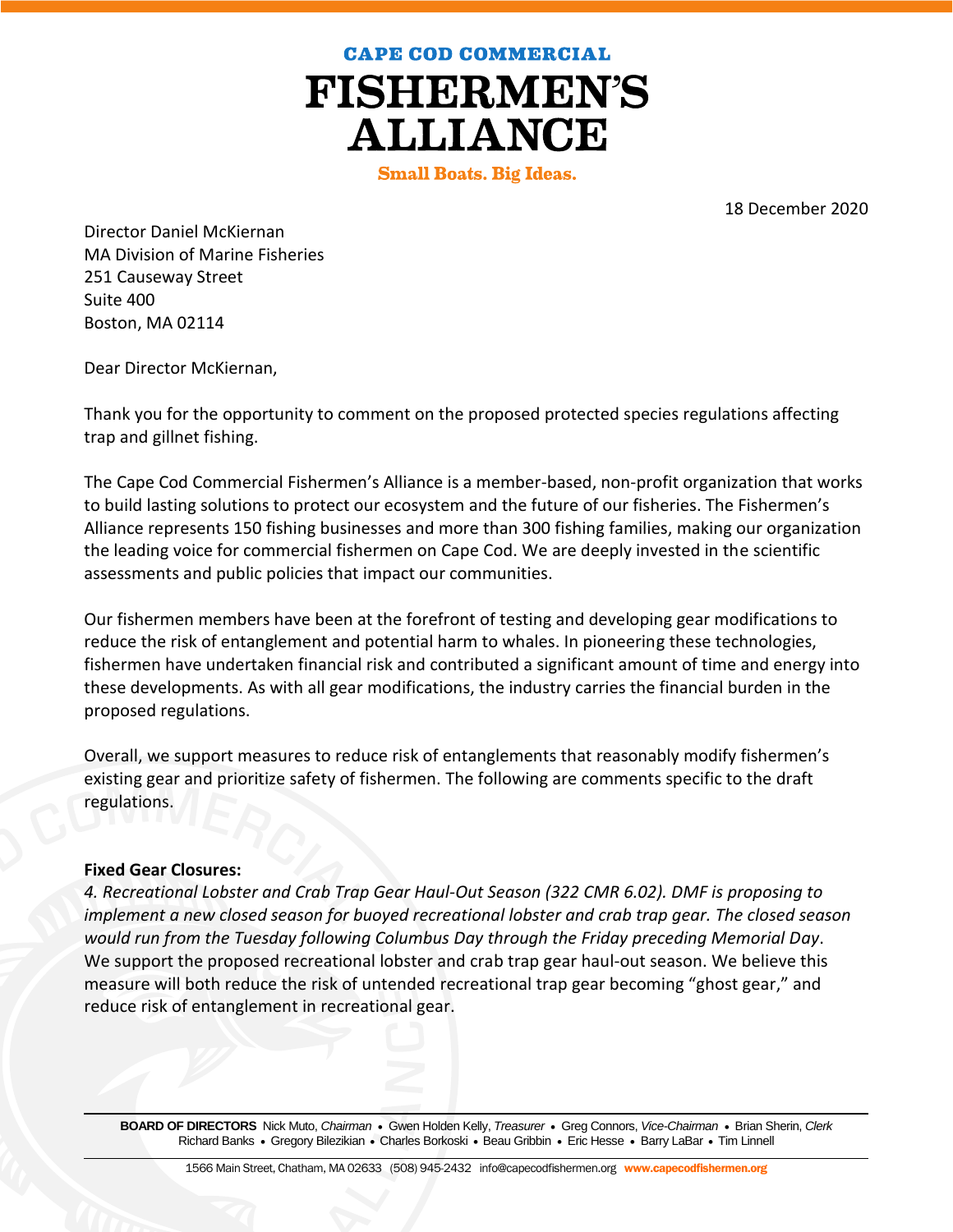**CAPE COD COMMERCIAL** 

**FISHERMEN'S ALLIANCE** 

**Small Boats. Big Ideas.** 

18 December 2020

Director Daniel McKiernan MA Division of Marine Fisheries 251 Causeway Street Suite 400 Boston, MA 02114

Dear Director McKiernan,

Thank you for the opportunity to comment on the proposed protected species regulations affecting trap and gillnet fishing.

The Cape Cod Commercial Fishermen's Alliance is a member-based, non-profit organization that works to build lasting solutions to protect our ecosystem and the future of our fisheries. The Fishermen's Alliance represents 150 fishing businesses and more than 300 fishing families, making our organization the leading voice for commercial fishermen on Cape Cod. We are deeply invested in the scientific assessments and public policies that impact our communities.

Our fishermen members have been at the forefront of testing and developing gear modifications to reduce the risk of entanglement and potential harm to whales. In pioneering these technologies, fishermen have undertaken financial risk and contributed a significant amount of time and energy into these developments. As with all gear modifications, the industry carries the financial burden in the proposed regulations.

Overall, we support measures to reduce risk of entanglements that reasonably modify fishermen's existing gear and prioritize safety of fishermen. The following are comments specific to the draft regulations.

## **Fixed Gear Closures:**

*4. Recreational Lobster and Crab Trap Gear Haul-Out Season (322 CMR 6.02). DMF is proposing to implement a new closed season for buoyed recreational lobster and crab trap gear. The closed season would run from the Tuesday following Columbus Day through the Friday preceding Memorial Day*. We support the proposed recreational lobster and crab trap gear haul-out season. We believe this measure will both reduce the risk of untended recreational trap gear becoming "ghost gear," and reduce risk of entanglement in recreational gear.

**BOARD OF DIRECTORS** Nick Muto, *Chairman* Gwen Holden Kelly, *Treasurer* Greg Connors, *Vice-Chairman* Brian Sherin, *Clerk* Richard Banks • Gregory Bilezikian • Charles Borkoski • Beau Gribbin • Eric Hesse • Barry LaBar • Tim Linnell